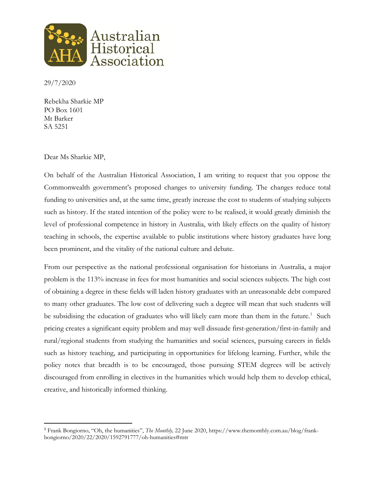

29/7/2020

Rebekha Sharkie MP PO Box 1601 Mt Barker SA 5251

## Dear Ms Sharkie MP,

On behalf of the Australian Historical Association, I am writing to request that you oppose the Commonwealth government's proposed changes to university funding. The changes reduce total funding to universities and, at the same time, greatly increase the cost to students of studying subjects such as history. If the stated intention of the policy were to be realised, it would greatly diminish the level of professional competence in history in Australia, with likely effects on the quality of history teaching in schools, the expertise available to public institutions where history graduates have long been prominent, and the vitality of the national culture and debate.

From our perspective as the national professional organisation for historians in Australia, a major problem is the 113% increase in fees for most humanities and social sciences subjects. The high cost of obtaining a degree in these fields will laden history graduates with an unreasonable debt compared to many other graduates. The low cost of delivering such a degree will mean that such students will be subsidising the education of graduates who will likely earn more than them in the future.<sup>[1](#page-0-0)</sup> Such pricing creates a significant equity problem and may well dissuade first-generation/first-in-family and rural/regional students from studying the humanities and social sciences, pursuing careers in fields such as history teaching, and participating in opportunities for lifelong learning. Further, while the policy notes that breadth is to be encouraged, those pursuing STEM degrees will be actively discouraged from enrolling in electives in the humanities which would help them to develop ethical, creative, and historically informed thinking.

<span id="page-0-0"></span> <sup>1</sup> Frank Bongiorno, "Oh, the humanities", *The Monthly,* 22 June 2020, https://www.themonthly.com.au/blog/frankbongiorno/2020/22/2020/1592791777/oh-humanities#mtr